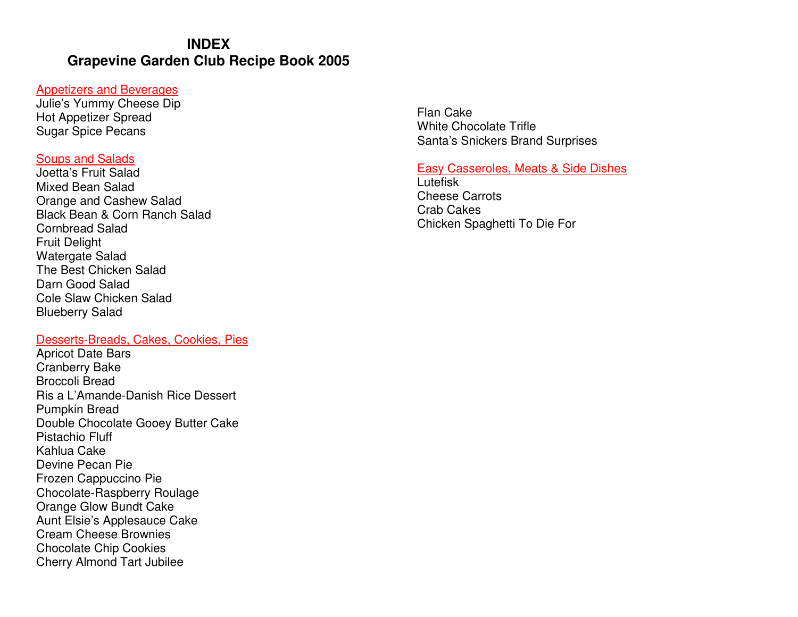# **INDEX Grapevine Garden Club Recipe Book 2005**

#### Appetizers and Beverages

 Julie's Yummy Cheese Dip Hot Appetizer Spread Sugar Spice Pecans

#### Soups and Salads

 Joetta's Fruit Salad Mixed Bean Salad Orange and Cashew Salad Black Bean & Corn Ranch Salad Cornbread Salad Fruit Delight Watergate Salad The Best Chicken Salad Darn Good Salad Cole Slaw Chicken Salad Blueberry Salad

## Desserts-Breads, Cakes, Cookies, Pies

Apricot Date Bars Cranberry Bake Broccoli Bread Ris a L'Amande-Danish Rice Dessert Pumpkin Bread Double Chocolate Gooey Butter Cake Pistachio Fluff Kahlua Cake Devine Pecan Pie Frozen Cappuccino Pie Chocolate-Raspberry Roulage Orange Glow Bundt Cake Aunt Elsie's Applesauce Cake Cream Cheese Brownies Chocolate Chip Cookies Cherry Almond Tart Jubilee

Flan Cake White Chocolate Trifle Santa's Snickers Brand Surprises

### Easy Casseroles, Meats & Side Dishes

**Lutefisk**  Cheese Carrots Crab Cakes Chicken Spaghetti To Die For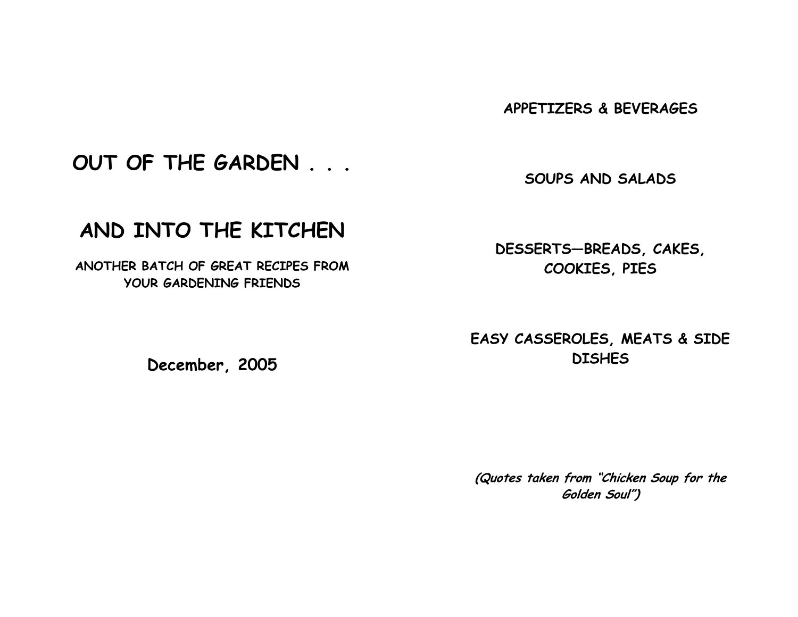APPETIZERS & BEVERAGES

OUT OF THE GARDEN . . .

SOUPS AND SALADS

# AND INTO THE KITCHEN

ANOTHER BATCH OF GREAT RECIPES FROM YOUR GARDENING FRIENDS

December, 2005

DESSERTS—BREADS, CAKES, COOKIES, PIES

EASY CASSEROLES, MEATS & SIDE **DISHES** 

(Quotes taken from "Chicken Soup for the Golden Soul")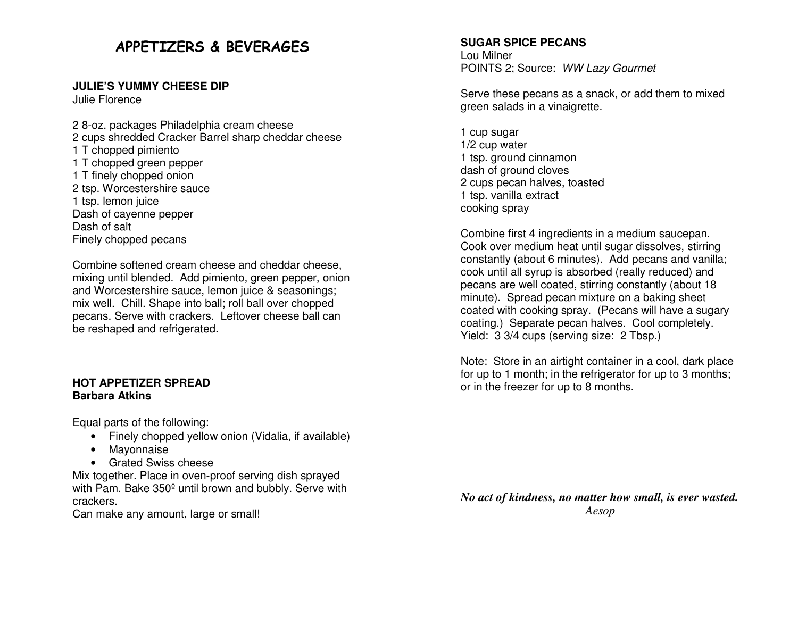# APPETIZERS & BEVERAGES

#### **JULIE'S YUMMY CHEESE DIP**

Julie Florence

2 8-oz. packages Philadelphia cream cheese 2 cups shredded Cracker Barrel sharp cheddar cheese1 T chopped pimiento 1 T chopped green pepper 1 T finely chopped onion 2 tsp. Worcestershire sauce 1 tsp. lemon juice Dash of cayenne pepper Dash of salt Finely chopped pecans

Combine softened cream cheese and cheddar cheese, mixing until blended. Add pimiento, green pepper, onion and Worcestershire sauce, lemon juice & seasonings; mix well. Chill. Shape into ball; roll ball over chopped pecans. Serve with crackers. Leftover cheese ball can be reshaped and refrigerated.

#### **HOT APPETIZER SPREAD Barbara Atkins**

Equal parts of the following:

- Finely chopped yellow onion (Vidalia, if available)
- Mayonnaise
- Grated Swiss cheese

 Mix together. Place in oven-proof serving dish sprayed with Pam. Bake 350<sup>°</sup> until brown and bubbly. Serve with crackers.

Can make any amount, large or small!

#### **SUGAR SPICE PECANS**

Lou Milner POINTS 2; Source: WW Lazy Gourmet

Serve these pecans as a snack, or add them to mixedgreen salads in a vinaigrette.

1 cup sugar 1/2 cup water 1 tsp. ground cinnamon dash of ground cloves 2 cups pecan halves, toasted 1 tsp. vanilla extract cooking spray

Combine first 4 ingredients in a medium saucepan. Cook over medium heat until sugar dissolves, stirring constantly (about 6 minutes). Add pecans and vanilla; cook until all syrup is absorbed (really reduced) and pecans are well coated, stirring constantly (about 18 minute). Spread pecan mixture on a baking sheet coated with cooking spray. (Pecans will have a sugary coating.) Separate pecan halves. Cool completely.Yield: 3 3/4 cups (serving size: 2 Tbsp.)

Note: Store in an airtight container in a cool, dark place for up to 1 month; in the refrigerator for up to 3 months; or in the freezer for up to 8 months.

*No act of kindness, no matter how small, is ever wasted. Aesop*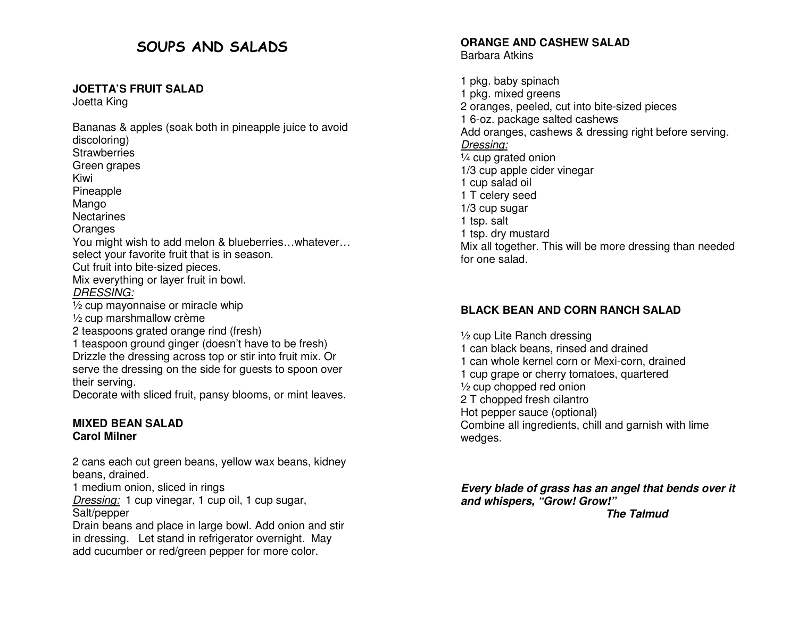# SOUPS AND SALADS

#### **JOETTA'S FRUIT SALAD**

Joetta King

Bananas & apples (soak both in pineapple juice to avoid discoloring) Strawberries Green grapes Kiwi Pineapple Mango Nectarines **Oranges**  You might wish to add melon & blueberries…whatever…select your favorite fruit that is in season. Cut fruit into bite-sized pieces. Mix everything or layer fruit in bowl. DRESSING: ½ cup mayonnaise or miracle whip ½ cup marshmallow crème 2 teaspoons grated orange rind (fresh) 1 teaspoon ground ginger (doesn't have to be fresh) Drizzle the dressing across top or stir into fruit mix. Or serve the dressing on the side for guests to spoon over their serving.

Decorate with sliced fruit, pansy blooms, or mint leaves.

#### **MIXED BEAN SALAD Carol Milner**

2 cans each cut green beans, yellow wax beans, kidney beans, drained.

1 medium onion, sliced in rings

Dressing: 1 cup vinegar, 1 cup oil, 1 cup sugar,

Salt/pepper

 Drain beans and place in large bowl. Add onion and stir in dressing. Let stand in refrigerator overnight. May add cucumber or red/green pepper for more color.

#### **ORANGE AND CASHEW SALAD** Barbara Atkins

1 pkg. baby spinach 1 pkg. mixed greens 2 oranges, peeled, cut into bite-sized pieces 1 6-oz. package salted cashews Add oranges, cashews & dressing right before serving. Dressing: ¼ cup grated onion 1/3 cup apple cider vinegar 1 cup salad oil 1 T celery seed 1/3 cup sugar 1 tsp. salt 1 tsp. dry mustard Mix all together. This will be more dressing than needed for one salad.

## **BLACK BEAN AND CORN RANCH SALAD**

½ cup Lite Ranch dressing 1 can black beans, rinsed and drained 1 can whole kernel corn or Mexi-corn, drained 1 cup grape or cherry tomatoes, quartered ½ cup chopped red onion 2 T chopped fresh cilantro Hot pepper sauce (optional) Combine all ingredients, chill and garnish with lime wedges.

**Every blade of grass has an angel that bends over it and whispers, "Grow! Grow!"** *The Talmud The Talmud*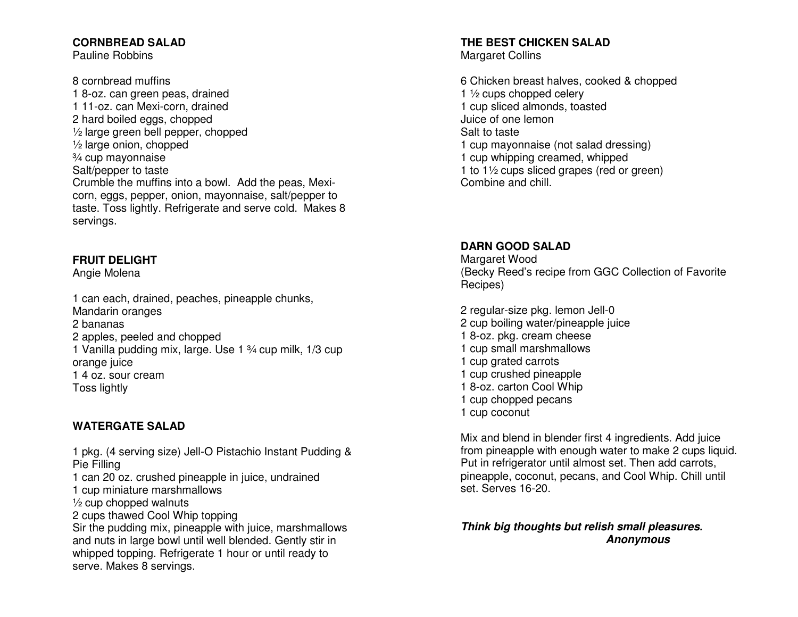### **CORNBREAD SALAD**

Pauline Robbins

8 cornbread muffins 1 8-oz. can green peas, drained 1 11-oz. can Mexi-corn, drained 2 hard boiled eggs, chopped ½ large green bell pepper, chopped ½ large onion, chopped ¾ cup mayonnaise Salt/pepper to taste Crumble the muffins into a bowl. Add the peas, Mexicorn, eggs, pepper, onion, mayonnaise, salt/pepper to taste. Toss lightly. Refrigerate and serve cold. Makes 8 servings.

### **FRUIT DELIGHT**

Angie Molena

1 can each, drained, peaches, pineapple chunks, Mandarin oranges 2 bananas 2 apples, peeled and chopped 1 Vanilla pudding mix, large. Use 1 ¾ cup milk, 1/3 cup orange juice 1 4 oz. sour cream Toss lightly

## **WATERGATE SALAD**

1 pkg. (4 serving size) Jell-O Pistachio Instant Pudding & Pie Filling 1 can 20 oz. crushed pineapple in juice, undrained 1 cup miniature marshmallows  $\frac{1}{2}$  cup chopped walnuts 2 cups thawed Cool Whip topping Sir the pudding mix, pineapple with juice, marshmallows and nuts in large bowl until well blended. Gently stir in whipped topping. Refrigerate 1 hour or until ready to serve. Makes 8 servings.

#### **THE BEST CHICKEN SALAD** Margaret Collins

6 Chicken breast halves, cooked & chopped 1 ½ cups chopped celery 1 cup sliced almonds, toasted Juice of one lemon Salt to taste 1 cup mayonnaise (not salad dressing) 1 cup whipping creamed, whipped 1 to 1½ cups sliced grapes (red or green) Combine and chill.

### **DARN GOOD SALAD**

Margaret Wood (Becky Reed's recipe from GGC Collection of Favorite Recipes)

2 regular-size pkg. lemon Jell-0 2 cup boiling water/pineapple juice 1 8-oz. pkg. cream cheese 1 cup small marshmallows 1 cup grated carrots 1 cup crushed pineapple 1 8-oz. carton Cool Whip 1 cup chopped pecans 1 cup coconut

Mix and blend in blender first 4 ingredients. Add juice from pineapple with enough water to make 2 cups liquid. Put in refrigerator until almost set. Then add carrots, pineapple, coconut, pecans, and Cool Whip. Chill until set. Serves 16-20.

**Think big thoughts but relish small pleasures. Anonymous**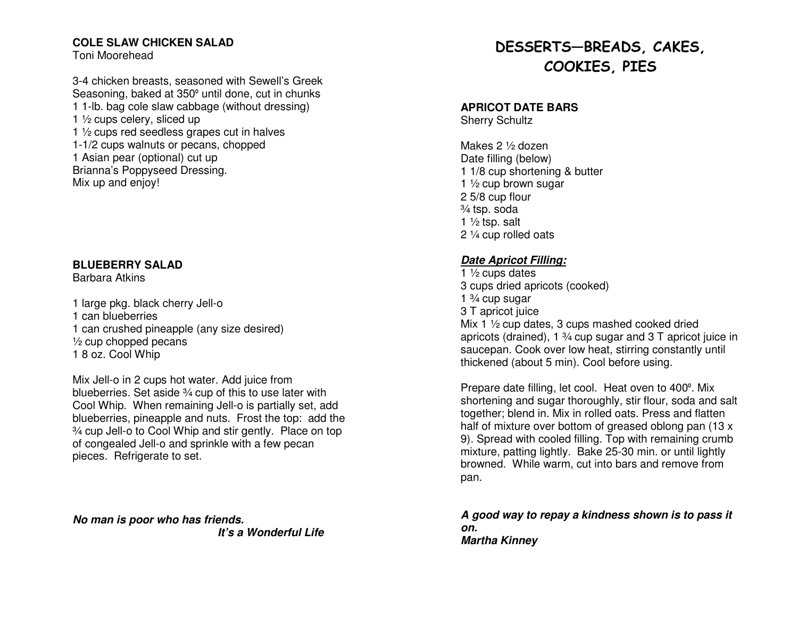#### **COLE SLAW CHICKEN SALAD**

Toni Moorehead

3-4 chicken breasts, seasoned with Sewell's Greek Seasoning, baked at 350° until done, cut in chunks 1 1-lb. bag cole slaw cabbage (without dressing) 1 ½ cups celery, sliced up 1 1/2 cups red seedless grapes cut in halves 1-1/2 cups walnuts or pecans, chopped 1 Asian pear (optional) cut up Brianna's Poppyseed Dressing. Mix up and enjoy!

#### **BLUEBERRY SALAD**

Barbara Atkins

1 large pkg. black cherry Jell-o 1 can blueberries 1 can crushed pineapple (any size desired)  $\frac{1}{2}$  cup chopped pecans 1 8 oz. Cool Whip

Mix Jell-o in 2 cups hot water. Add juice from blueberries. Set aside 3⁄4 cup of this to use later with Cool Whip. When remaining Jell-o is partially set, add blueberries, pineapple and nuts. Frost the top: add the ¾ cup Jell-o to Cool Whip and stir gently. Place on top of congealed Jell-o and sprinkle with a few pecan pieces. Refrigerate to set.

**No man is poor who has friends. It's a Wonderful Life** 

# DESSERTS—BREADS, CAKES, COOKIES, PIES

#### **APRICOT DATE BARS**

Sherry Schultz

Makes 2 ½ dozen Date filling (below) 1 1/8 cup shortening & butter 1 ½ cup brown sugar 2 5/8 cup flour ¾ tsp. soda 1  $\frac{1}{2}$  tsp. salt 2 ¼ cup rolled oats

## **Date Apricot Filling:**

1  $\frac{1}{2}$  cups dates 3 cups dried apricots (cooked) 1  $\frac{3}{4}$  cup sugar 3 T apricot juice Mix 1 ½ cup dates, 3 cups mashed cooked dried apricots (drained), 1 ¾ cup sugar and 3 T apricot juice in saucepan. Cook over low heat, stirring constantly until thickened (about 5 min). Cool before using.

Prepare date filling, let cool. Heat oven to 400º. Mix shortening and sugar thoroughly, stir flour, soda and salt together; blend in. Mix in rolled oats. Press and flatten half of mixture over bottom of greased oblong pan (13 x 9). Spread with cooled filling. Top with remaining crumb mixture, patting lightly. Bake 25-30 min. or until lightly browned. While warm, cut into bars and remove frompan.

#### **A good way to repay a kindness shown is to pass it on. Martha Kinney**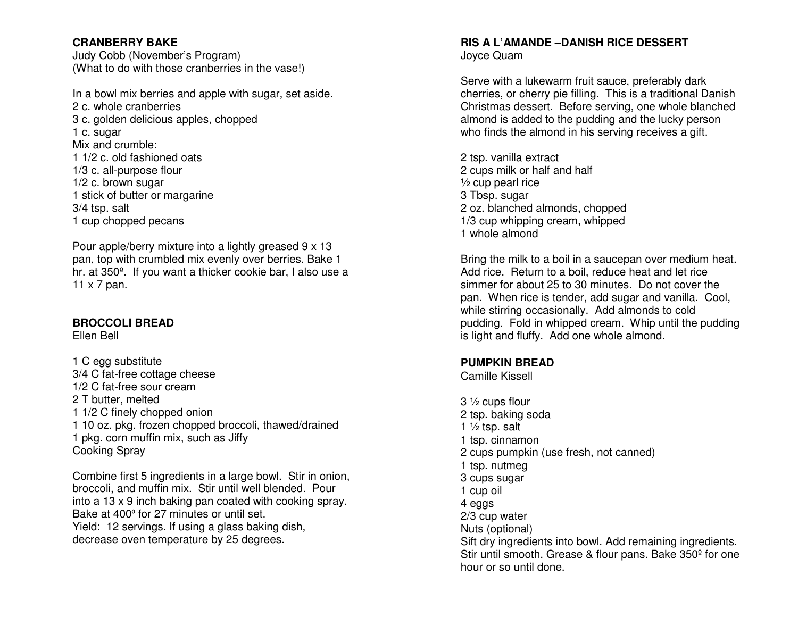#### **CRANBERRY BAKE**

 Judy Cobb (November's Program) (What to do with those cranberries in the vase!)

In a bowl mix berries and apple with sugar, set aside. 2 c. whole cranberries 3 c. golden delicious apples, chopped 1 c. sugar Mix and crumble: 1 1/2 c. old fashioned oats 1/3 c. all-purpose flour 1/2 c. brown sugar 1 stick of butter or margarine 3/4 tsp. salt 1 cup chopped pecans

Pour apple/berry mixture into a lightly greased 9 x 13 pan, top with crumbled mix evenly over berries. Bake 1 hr. at 350º. If you want a thicker cookie bar, I also use a 11 x 7 pan.

#### **BROCCOLI BREAD**

Ellen Bell

1 C egg substitute 3/4 C fat-free cottage cheese 1/2 C fat-free sour cream 2 T butter, melted 1 1/2 C finely chopped onion 1 10 oz. pkg. frozen chopped broccoli, thawed/drained 1 pkg. corn muffin mix, such as Jiffy Cooking Spray

Combine first 5 ingredients in a large bowl. Stir in onion, broccoli, and muffin mix. Stir until well blended. Pour into a 13 x 9 inch baking pan coated with cooking spray. Bake at 400º for 27 minutes or until set. Yield: 12 servings. If using a glass baking dish, decrease oven temperature by 25 degrees.

### **RIS A L'AMANDE –DANISH RICE DESSERT** Joyce Quam

Serve with a lukewarm fruit sauce, preferably dark cherries, or cherry pie filling. This is a traditional Danish Christmas dessert. Before serving, one whole blanched almond is added to the pudding and the lucky personwho finds the almond in his serving receives a gift.

2 tsp. vanilla extract 2 cups milk or half and half ½ cup pearl rice 3 Tbsp. sugar 2 oz. blanched almonds, chopped 1/3 cup whipping cream, whipped 1 whole almond

Bring the milk to a boil in a saucepan over medium heat. Add rice. Return to a boil, reduce heat and let rice simmer for about 25 to 30 minutes. Do not cover the pan. When rice is tender, add sugar and vanilla. Cool, while stirring occasionally. Add almonds to cold pudding. Fold in whipped cream. Whip until the pudding is light and fluffy. Add one whole almond.

### **PUMPKIN BREAD**

Camille Kissell

3 ½ cups flour 2 tsp. baking soda 1  $\frac{1}{2}$  tsp. salt 1 tsp. cinnamon 2 cups pumpkin (use fresh, not canned) 1 tsp. nutmeg 3 cups sugar 1 cup oil 4 eggs 2/3 cup water Nuts (optional) Sift dry ingredients into bowl. Add remaining ingredients. Stir until smooth. Grease & flour pans. Bake 350<sup>o</sup> for one hour or so until done.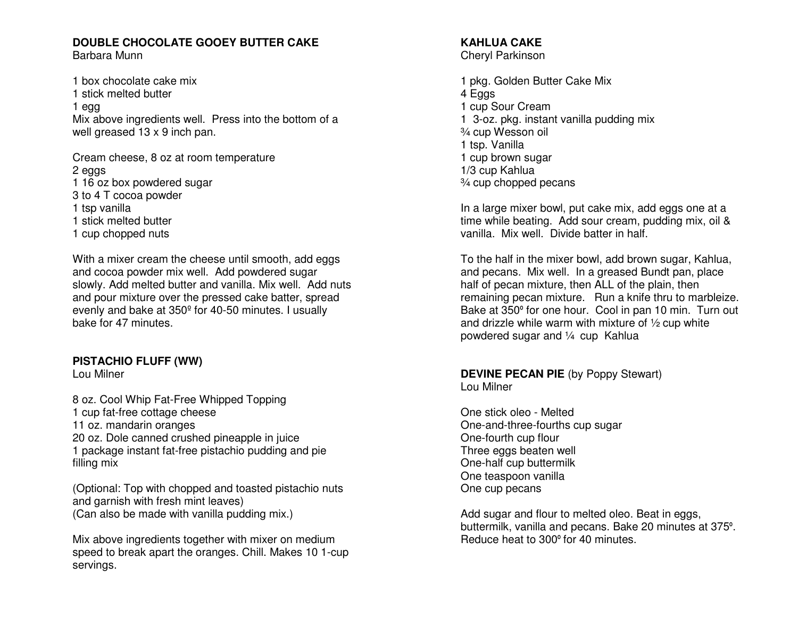#### **DOUBLE CHOCOLATE GOOEY BUTTER CAKE** Barbara Munn

1 box chocolate cake mix 1 stick melted butter 1 egg Mix above ingredients well. Press into the bottom of a well greased 13 x 9 inch pan.

Cream cheese, 8 oz at room temperature 2 eggs 1 16 oz box powdered sugar 3 to 4 T cocoa powder 1 tsp vanilla 1 stick melted butter 1 cup chopped nuts

With a mixer cream the cheese until smooth, add eggs and cocoa powder mix well. Add powdered sugar slowly. Add melted butter and vanilla. Mix well. Add nuts and pour mixture over the pressed cake batter, spread evenly and bake at 350º for 40-50 minutes. I usually bake for 47 minutes.

#### **PISTACHIO FLUFF (WW)**

Lou Milner

8 oz. Cool Whip Fat-Free Whipped Topping 1 cup fat-free cottage cheese 11 oz. mandarin oranges 20 oz. Dole canned crushed pineapple in juice 1 package instant fat-free pistachio pudding and pie filling mix

(Optional: Top with chopped and toasted pistachio nuts and garnish with fresh mint leaves) (Can also be made with vanilla pudding mix.)

Mix above ingredients together with mixer on medium speed to break apart the oranges. Chill. Makes 10 1-cup servings.

#### **KAHLUA CAKE** Cheryl Parkinson

1 pkg. Golden Butter Cake Mix 4 Eggs 1 cup Sour Cream 1 3-oz. pkg. instant vanilla pudding mix ¾ cup Wesson oil 1 tsp. Vanilla 1 cup brown sugar 1/3 cup Kahlua ¾ cup chopped pecans

In a large mixer bowl, put cake mix, add eggs one at a time while beating. Add sour cream, pudding mix, oil & vanilla. Mix well. Divide batter in half.

To the half in the mixer bowl, add brown sugar, Kahlua, and pecans. Mix well. In a greased Bundt pan, place half of pecan mixture, then ALL of the plain, then remaining pecan mixture. Run a knife thru to marbleize. Bake at 350º for one hour. Cool in pan 10 min. Turn out and drizzle while warm with mixture of ½ cup white powdered sugar and ¼ cup Kahlua

#### **DEVINE PECAN PIE** (by Poppy Stewart) Lou Milner

One stick oleo - Melted One-and-three-fourths cup sugar One-fourth cup flour Three eggs beaten well One-half cup buttermilk One teaspoon vanilla One cup pecans

Add sugar and flour to melted oleo. Beat in eggs, buttermilk, vanilla and pecans. Bake 20 minutes at 375<sup>º</sup>. Reduce heat to 300º for 40 minutes.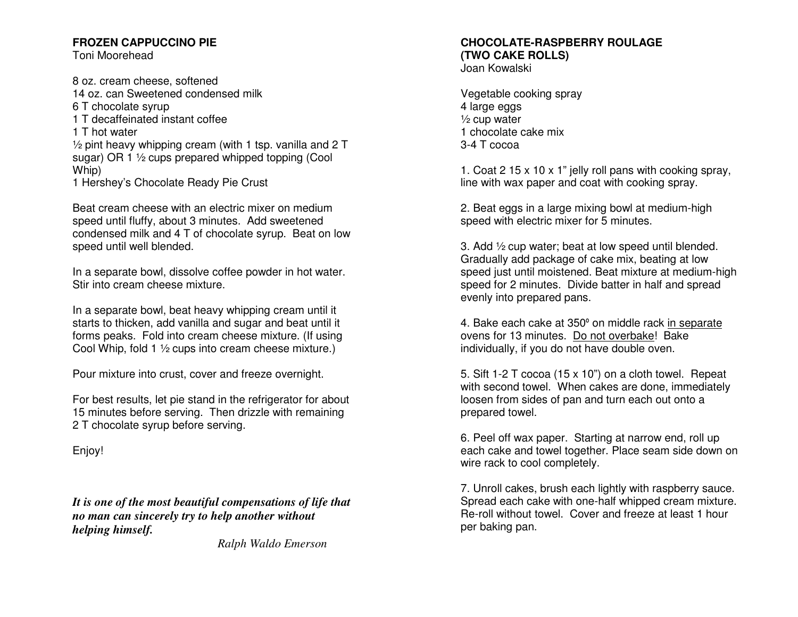#### **FROZEN CAPPUCCINO PIE**

Toni Moorehead

8 oz. cream cheese, softened 14 oz. can Sweetened condensed milk 6 T chocolate syrup 1 T decaffeinated instant coffee 1 T hot water ½ pint heavy whipping cream (with 1 tsp. vanilla and 2 T sugar) OR 1 ½ cups prepared whipped topping (Cool Whip) 1 Hershey's Chocolate Ready Pie Crust

Beat cream cheese with an electric mixer on medium speed until fluffy, about 3 minutes. Add sweetened condensed milk and 4 T of chocolate syrup. Beat on low speed until well blended.

In a separate bowl, dissolve coffee powder in hot water. Stir into cream cheese mixture.

In a separate bowl, beat heavy whipping cream until it starts to thicken, add vanilla and sugar and beat until it forms peaks. Fold into cream cheese mixture. (If using Cool Whip, fold 1 ½ cups into cream cheese mixture.)

Pour mixture into crust, cover and freeze overnight.

For best results, let pie stand in the refrigerator for about 15 minutes before serving. Then drizzle with remaining 2 T chocolate syrup before serving.

Enjoy!

*It is one of the most beautiful compensations of life that no man can sincerely try to help another without helping himself.* 

 *Ralph Waldo Emerson*

# **CHOCOLATE-RASPBERRY ROULAGE (TWO CAKE ROLLS)**

Joan Kowalski

Vegetable cooking spray 4 large eggs ½ cup water 1 chocolate cake mix 3-4 T cocoa

1. Coat 2 15 x 10 x 1" jelly roll pans with cooking spray, line with wax paper and coat with cooking spray.

2. Beat eggs in a large mixing bowl at medium-high speed with electric mixer for 5 minutes.

3. Add ½ cup water; beat at low speed until blended. Gradually add package of cake mix, beating at low speed just until moistened. Beat mixture at medium-high speed for 2 minutes. Divide batter in half and spread evenly into prepared pans.

4. Bake each cake at 350º on middle rack in separateovens for 13 minutes. Do not overbake! Bake individually, if you do not have double oven.

5. Sift 1-2 T cocoa (15 x 10") on a cloth towel. Repeat with second towel. When cakes are done, immediately loosen from sides of pan and turn each out onto a prepared towel.

6. Peel off wax paper. Starting at narrow end, roll up each cake and towel together. Place seam side down on wire rack to cool completely.

7. Unroll cakes, brush each lightly with raspberry sauce. Spread each cake with one-half whipped cream mixture. Re-roll without towel. Cover and freeze at least 1 hour per baking pan.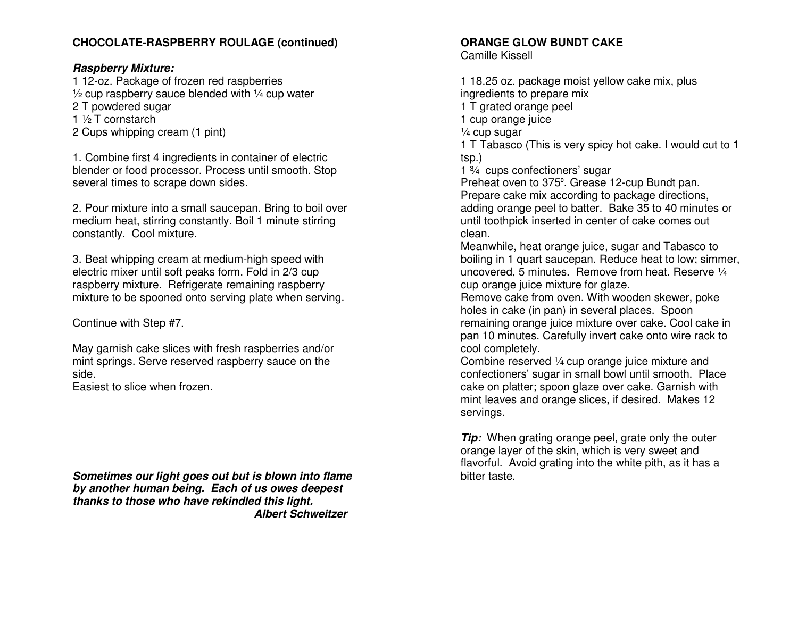#### **CHOCOLATE-RASPBERRY ROULAGE (continued)**

#### **Raspberry Mixture:**

 1 12-oz. Package of frozen red raspberries  $\frac{1}{2}$  cup raspberry sauce blended with  $\frac{1}{4}$  cup water

- 2 T powdered sugar
- 1 ½ T cornstarch
- 2 Cups whipping cream (1 pint)

1. Combine first 4 ingredients in container of electric blender or food processor. Process until smooth. Stop several times to scrape down sides.

2. Pour mixture into a small saucepan. Bring to boil over medium heat, stirring constantly. Boil 1 minute stirring constantly. Cool mixture.

3. Beat whipping cream at medium-high speed with electric mixer until soft peaks form. Fold in 2/3 cup raspberry mixture. Refrigerate remaining raspberrymixture to be spooned onto serving plate when serving.

Continue with Step #7.

May garnish cake slices with fresh raspberries and/or mint springs. Serve reserved raspberry sauce on theside.

Easiest to slice when frozen.

**Sometimes our light goes out but is blown into flame by another human being. Each of us owes deepest thanks to those who have rekindled this light. Albert Schweitzer** 

#### **ORANGE GLOW BUNDT CAKE**

Camille Kissell

1 18.25 oz. package moist yellow cake mix, plus ingredients to prepare mix 1 T grated orange peel 1 cup orange juice ¼ cup sugar 1 T Tabasco (This is very spicy hot cake. I would cut to 1 tsp.) 1 ¾ cups confectioners' sugar Preheat oven to 375º. Grease 12-cup Bundt pan. Prepare cake mix according to package directions, adding orange peel to batter. Bake 35 to 40 minutes or until toothpick inserted in center of cake comes out clean.

 Meanwhile, heat orange juice, sugar and Tabasco to boiling in 1 quart saucepan. Reduce heat to low; simmer, uncovered, 5 minutes. Remove from heat. Reserve 1/4 cup orange juice mixture for glaze.

 Remove cake from oven. With wooden skewer, poke holes in cake (in pan) in several places. Spoon remaining orange juice mixture over cake. Cool cake in pan 10 minutes. Carefully invert cake onto wire rack to cool completely.

 Combine reserved ¼ cup orange juice mixture and confectioners' sugar in small bowl until smooth. Place cake on platter; spoon glaze over cake. Garnish with mint leaves and orange slices, if desired. Makes 12 servings.

**Tip:** When grating orange peel, grate only the outer orange layer of the skin, which is very sweet and flavorful. Avoid grating into the white pith, as it has a bitter taste.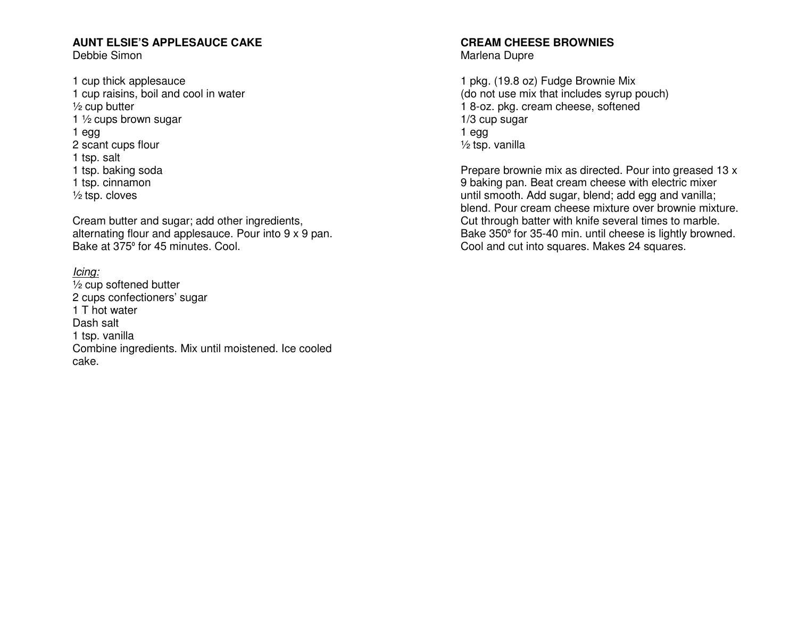#### **AUNT ELSIE'S APPLESAUCE CAKE**

Debbie Simon

1 cup thick applesauce 1 cup raisins, boil and cool in water ½ cup butter 1  $\frac{1}{2}$  cups brown sugar 1 egg 2 scant cups flour 1 tsp. salt 1 tsp. baking soda 1 tsp. cinnamon ½ tsp. cloves

Cream butter and sugar; add other ingredients, alternating flour and applesauce. Pour into 9 x 9 pan. Bake at 375º for 45 minutes. Cool.

#### Icing:

 ½ cup softened butter 2 cups confectioners' sugar 1 T hot water Dash salt 1 tsp. vanilla Combine ingredients. Mix until moistened. Ice cooled cake.

## **CREAM CHEESE BROWNIES**

Marlena Dupre

1 pkg. (19.8 oz) Fudge Brownie Mix (do not use mix that includes syrup pouch) 1 8-oz. pkg. cream cheese, softened 1/3 cup sugar 1 egg ½ tsp. vanilla

Prepare brownie mix as directed. Pour into greased 13 x 9 baking pan. Beat cream cheese with electric mixer until smooth. Add sugar, blend; add egg and vanilla; blend. Pour cream cheese mixture over brownie mixture. Cut through batter with knife several times to marble. Bake 350º for 35-40 min. until cheese is lightly browned. Cool and cut into squares. Makes 24 squares.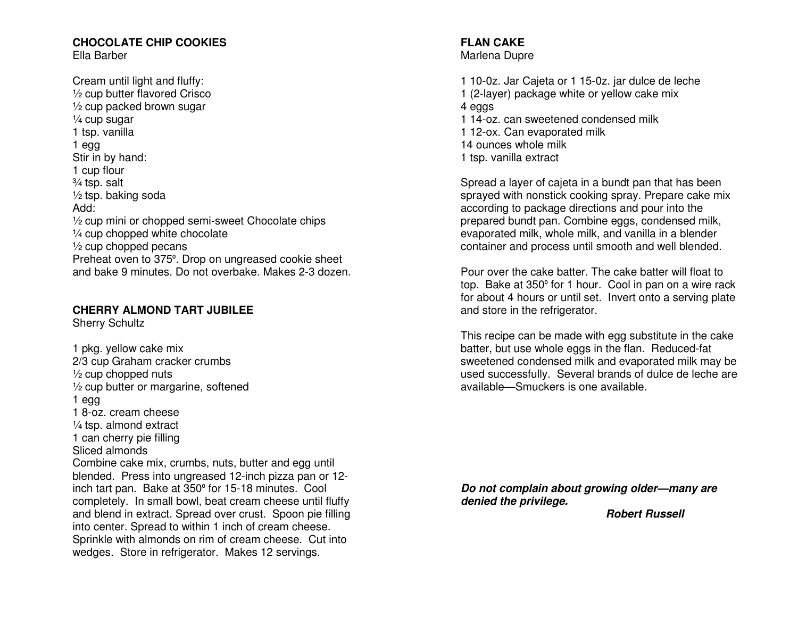#### **CHOCOLATE CHIP COOKIES** Ella Barber

Cream until light and fluffy: ½ cup butter flavored Crisco ½ cup packed brown sugar ¼ cup sugar 1 tsp. vanilla 1 egg Stir in by hand: 1 cup flour ¾ tsp. salt ½ tsp. baking soda Add: ½ cup mini or chopped semi-sweet Chocolate chips ¼ cup chopped white chocolate  $\frac{1}{2}$  cup chopped pecans Preheat oven to 375º. Drop on ungreased cookie sheet and bake 9 minutes. Do not overbake. Makes 2-3 dozen.

#### **CHERRY ALMOND TART JUBILEE**

Sherry Schultz

1 pkg. yellow cake mix 2/3 cup Graham cracker crumbs ½ cup chopped nuts ½ cup butter or margarine, softened 1 egg 1 8-oz. cream cheese ¼ tsp. almond extract 1 can cherry pie filling Sliced almonds Combine cake mix, crumbs, nuts, butter and egg until blended. Press into ungreased 12-inch pizza pan or 12inch tart pan. Bake at 350º for 15-18 minutes. Cool completely. In small bowl, beat cream cheese until fluffy and blend in extract. Spread over crust. Spoon pie filling into center. Spread to within 1 inch of cream cheese. Sprinkle with almonds on rim of cream cheese. Cut into wedges. Store in refrigerator. Makes 12 servings.

**FLAN CAKE** Marlena Dupre

1 10-0z. Jar Cajeta or 1 15-0z. jar dulce de leche 1 (2-layer) package white or yellow cake mix 4 eggs 1 14-oz. can sweetened condensed milk 1 12-ox. Can evaporated milk 14 ounces whole milk 1 tsp. vanilla extract

Spread a layer of cajeta in a bundt pan that has been sprayed with nonstick cooking spray. Prepare cake mix according to package directions and pour into the prepared bundt pan. Combine eggs, condensed milk, evaporated milk, whole milk, and vanilla in a blender container and process until smooth and well blended.

Pour over the cake batter. The cake batter will float to top. Bake at 350º for 1 hour. Cool in pan on a wire rack for about 4 hours or until set. Invert onto a serving plate and store in the refrigerator.

This recipe can be made with egg substitute in the cake batter, but use whole eggs in the flan. Reduced-fat sweetened condensed milk and evaporated milk may be used successfully. Several brands of dulce de leche are available—Smuckers is one available.

**Do not complain about growing older—many are denied the privilege.** 

 **Robert Russell**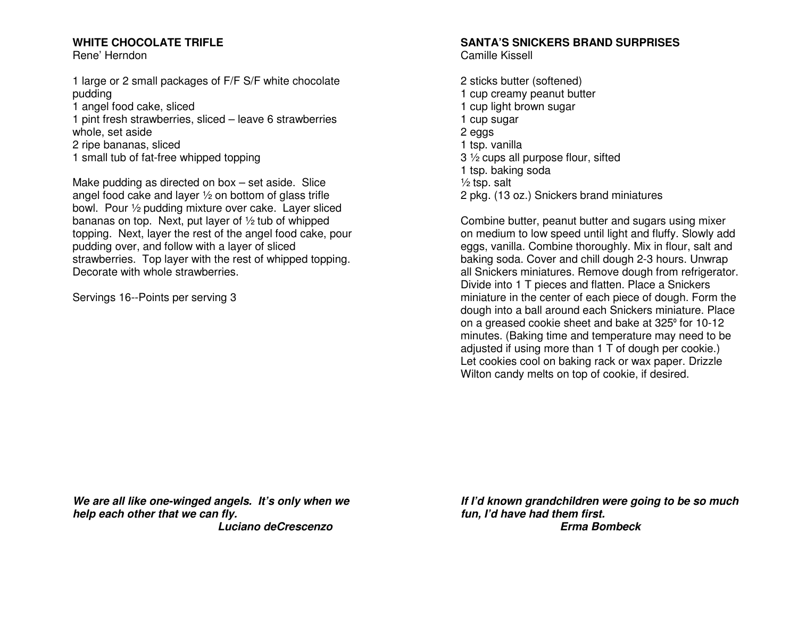### **WHITE CHOCOLATE TRIFLE**

Rene' Herndon

1 large or 2 small packages of F/F S/F white chocolate pudding

1 angel food cake, sliced

 1 pint fresh strawberries, sliced – leave 6 strawberries whole, set aside

- 2 ripe bananas, sliced
- 1 small tub of fat-free whipped topping

Make pudding as directed on box – set aside. Slice angel food cake and layer ½ on bottom of glass trifle bowl. Pour ½ pudding mixture over cake. Layer sliced bananas on top. Next, put layer of ½ tub of whipped topping. Next, layer the rest of the angel food cake, pour pudding over, and follow with a layer of sliced strawberries. Top layer with the rest of whipped topping. Decorate with whole strawberries.

Servings 16--Points per serving 3

## **SANTA'S SNICKERS BRAND SURPRISES**

Camille Kissell

2 sticks butter (softened) 1 cup creamy peanut butter 1 cup light brown sugar 1 cup sugar 2 eggs 1 tsp. vanilla 3 ½ cups all purpose flour, sifted 1 tsp. baking soda  $\frac{1}{2}$  tsp. salt 2 pkg. (13 oz.) Snickers brand miniatures

Combine butter, peanut butter and sugars using mixer on medium to low speed until light and fluffy. Slowly add eggs, vanilla. Combine thoroughly. Mix in flour, salt and baking soda. Cover and chill dough 2-3 hours. Unwrap all Snickers miniatures. Remove dough from refrigerator. Divide into 1 T pieces and flatten. Place a Snickers miniature in the center of each piece of dough. Form the dough into a ball around each Snickers miniature. Place on a greased cookie sheet and bake at 325º for 10-12 minutes. (Baking time and temperature may need to be adjusted if using more than 1 T of dough per cookie.) Let cookies cool on baking rack or wax paper. Drizzle Wilton candy melts on top of cookie, if desired.

**We are all like one-winged angels. It's only when we help each other that we can fly. Luciano deCrescenzo** 

**If I'd known grandchildren were going to be so muchfun, I'd have had them first. Erma Bombeck**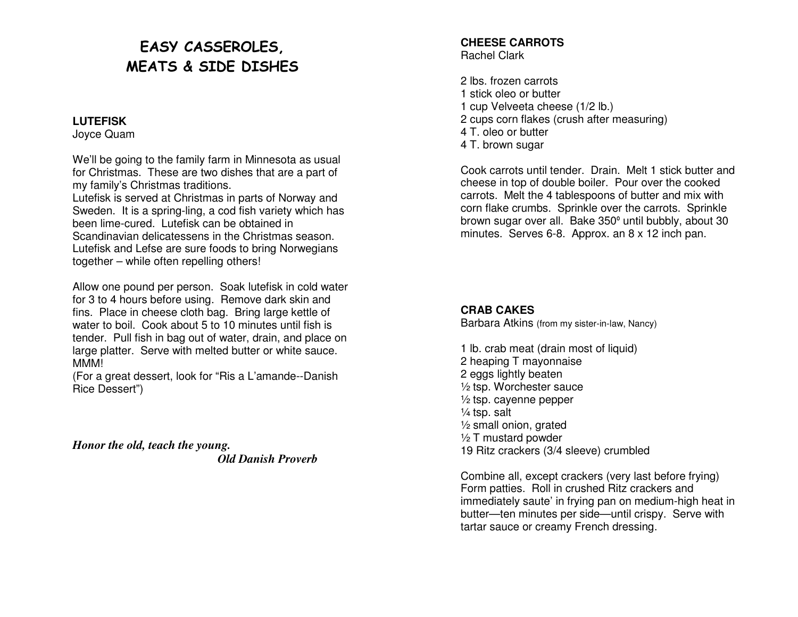# EASY CASSEROLES, MEATS & SIDE DISHES

#### **LUTEFISK**

Joyce Quam

We'll be going to the family farm in Minnesota as usual for Christmas. These are two dishes that are a part of my family's Christmas traditions.

 Lutefisk is served at Christmas in parts of Norway and Sweden. It is a spring-ling, a cod fish variety which has been lime-cured. Lutefisk can be obtained in Scandinavian delicatessens in the Christmas season. Lutefisk and Lefse are sure foods to bring Norwegians together – while often repelling others!

Allow one pound per person. Soak lutefisk in cold water for 3 to 4 hours before using. Remove dark skin and fins. Place in cheese cloth bag. Bring large kettle of water to boil. Cook about 5 to 10 minutes until fish is tender. Pull fish in bag out of water, drain, and place on large platter. Serve with melted butter or white sauce. MMM!

 (For a great dessert, look for "Ris a L'amande--Danish Rice Dessert")

*Honor the old, teach the young. Old Danish Proverb* 

#### **CHEESE CARROTS** Rachel Clark

2 lbs. frozen carrots 1 stick oleo or butter 1 cup Velveeta cheese (1/2 lb.) 2 cups corn flakes (crush after measuring) 4 T. oleo or butter 4 T. brown sugar

Cook carrots until tender. Drain. Melt 1 stick butter and cheese in top of double boiler. Pour over the cooked carrots. Melt the 4 tablespoons of butter and mix with corn flake crumbs. Sprinkle over the carrots. Sprinkle brown sugar over all. Bake 350º until bubbly, about 30 minutes. Serves 6-8. Approx. an 8 x 12 inch pan.

#### **CRAB CAKES**

Barbara Atkins (from my sister-in-law, Nancy)

1 lb. crab meat (drain most of liquid) 2 heaping T mayonnaise 2 eggs lightly beaten ½ tsp. Worchester sauce  $\frac{1}{2}$  tsp. cayenne pepper  $\frac{1}{4}$  tsp. salt ½ small onion, grated  $\frac{1}{2}$  T mustard powder 19 Ritz crackers (3/4 sleeve) crumbled

Combine all, except crackers (very last before frying) Form patties. Roll in crushed Ritz crackers and immediately saute' in frying pan on medium-high heat in butter—ten minutes per side—until crispy. Serve with tartar sauce or creamy French dressing.